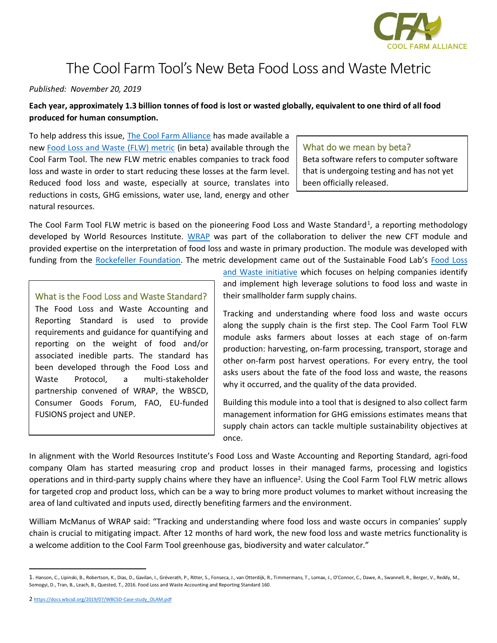

# The Cool Farm Tool's New Beta Food Loss and Waste Metric

#### *Published: November 20, 2019*

**Each year, approximately 1.3 billion tonnes of food is lost or wasted globally, equivalent to one third of all food produced for human consumption.**

To help address this issue, [The Cool Farm Alliance](https://coolfarmtool.org/) has made available a new [Food Loss and Waste \(FLW\) metric](https://coolfarmtool.org/2019/11/metrics-model-for-food-loss-and-waste-now-in-beta/) (in beta) available through the Cool Farm Tool. The new FLW metric enables companies to track food loss and waste in order to start reducing these losses at the farm level. Reduced food loss and waste, especially at source, translates into reductions in costs, GHG emissions, water use, land, energy and other natural resources.

#### What do we mean by beta?

Beta software refers to computer software that is undergoing testing and has not yet been officially released.

The Cool Farm Tool FLW metric is based on the pioneering Food Loss and Waste Standard<sup>1</sup>, a reporting methodology developed by World Resources Institute. [WRAP](http://www.wrap.org.uk/) was part of the collaboration to deliver the new CFT module and provided expertise on the interpretation of food loss and waste in primary production. The module was developed with funding from the [Rockefeller Foundation.](https://www.rockefellerfoundation.org/) The metric development came out of the Sustainable Food Lab's [Food Loss](https://sustainablefoodlab.org/initiatives/food-loss-and-waste/) 

What is the Food Loss and Waste Standard? The Food Loss and Waste Accounting and

Reporting Standard is used to provide requirements and guidance for quantifying and reporting on the weight of food and/or associated inedible parts. The standard has been developed through the Food Loss and Waste Protocol, a multi-stakeholder partnership convened of WRAP, the WBSCD, Consumer Goods Forum, FAO, EU-funded FUSIONS project and UNEP.

[and Waste](https://sustainablefoodlab.org/initiatives/food-loss-and-waste/) initiative which focuses on helping companies identify and implement high leverage solutions to food loss and waste in their smallholder farm supply chains.

Tracking and understanding where food loss and waste occurs along the supply chain is the first step. The Cool Farm Tool FLW module asks farmers about losses at each stage of on-farm production: harvesting, on-farm processing, transport, storage and other on-farm post harvest operations. For every entry, the tool asks users about the fate of the food loss and waste, the reasons why it occurred, and the quality of the data provided.

Building this module into a tool that is designed to also collect farm management information for GHG emissions estimates means that supply chain actors can tackle multiple sustainability objectives at once.

In alignment with the World Resources Institute's Food Loss and Waste Accounting and Reporting Standard, agri-food company Olam has started measuring crop and product losses in their managed farms, processing and logistics operations and in third-party supply chains where they have an influence<sup>2</sup>. Using the Cool Farm Tool FLW metric allows for targeted crop and product loss, which can be a way to bring more product volumes to market without increasing the area of land cultivated and inputs used, directly benefiting farmers and the environment.

William McManus of WRAP said: "Tracking and understanding where food loss and waste occurs in companies' supply chain is crucial to mitigating impact. After 12 months of hard work, the new food loss and waste metrics functionality is a welcome addition to the Cool Farm Tool greenhouse gas, biodiversity and water calculator."

<sup>1.</sup> Hanson, C., Lipinski, B., Robertson, K., Dias, D., Gavilan, I., Gréverath, P., Ritter, S., Fonseca, J., van Otterdijk, R., Timmermans, T., Lomax, J., O'Connor, C., Dawe, A., Swannell, R., Berger, V., Reddy, M., Somogyi, D., Tran, B., Leach, B., Quested, T., 2016. Food Loss and Waste Accounting and Reporting Standard 160.

<sup>2</sup> [https://docs.wbcsd.org/2019/07/WBCSD-Case-study\\_OLAM.pdf](https://docs.wbcsd.org/2019/07/WBCSD-Case-study_OLAM.pdf)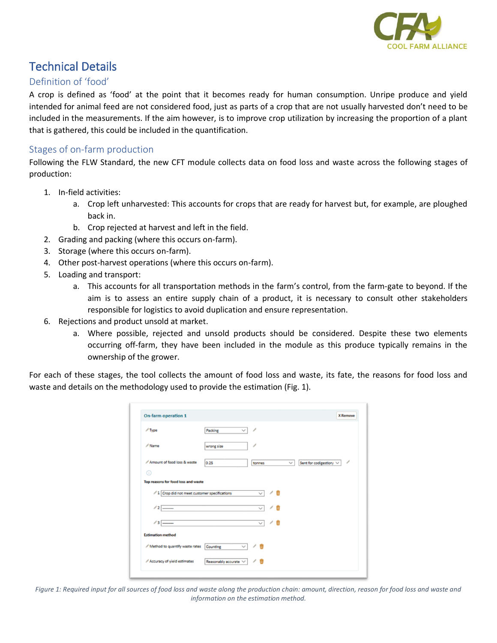

# Technical Details

## Definition of 'food'

A crop is defined as 'food' at the point that it becomes ready for human consumption. Unripe produce and yield intended for animal feed are not considered food, just as parts of a crop that are not usually harvested don't need to be included in the measurements. If the aim however, is to improve crop utilization by increasing the proportion of a plant that is gathered, this could be included in the quantification.

#### Stages of on-farm production

Following the FLW Standard, the new CFT module collects data on food loss and waste across the following stages of production:

- 1. In-field activities:
	- a. Crop left unharvested: This accounts for crops that are ready for harvest but, for example, are ploughed back in.
	- b. Crop rejected at harvest and left in the field.
- 2. Grading and packing (where this occurs on-farm).
- 3. Storage (where this occurs on-farm).
- 4. Other post-harvest operations (where this occurs on-farm).
- 5. Loading and transport:
	- a. This accounts for all transportation methods in the farm's control, from the farm-gate to beyond. If the aim is to assess an entire supply chain of a product, it is necessary to consult other stakeholders responsible for logistics to avoid duplication and ensure representation.
- 6. Rejections and product unsold at market.
	- a. Where possible, rejected and unsold products should be considered. Despite these two elements occurring off-farm, they have been included in the module as this produce typically remains in the ownership of the grower.

For each of these stages, the tool collects the amount of food loss and waste, its fate, the reasons for food loss and waste and details on the methodology used to provide the estimation (Fig. 1).

| <b>On-farm operation 1</b>                    |                          |                               | <b>X</b> Remove                                   |
|-----------------------------------------------|--------------------------|-------------------------------|---------------------------------------------------|
| $\sqrt{ }$ Type                               | Packing<br>$\checkmark$  | ◢                             |                                                   |
| $\angle$ Name                                 | wrong size               | ,                             |                                                   |
| Amount of food loss & waste                   | 0.25                     | tonnes                        | ◢<br>Sent for codigestion/ $\vee$<br>$\checkmark$ |
| Top reasons for food loss and waste           |                          |                               |                                                   |
| / 1 Crop did not meet customer specifications |                          | $\mathcal{A}$<br>$\checkmark$ |                                                   |
|                                               |                          |                               |                                                   |
| $/2$ $-$                                      |                          | $\checkmark$                  |                                                   |
| $/3$ $\overline{\phantom{a}}$                 |                          | / m<br>$\checkmark$           |                                                   |
| <b>Estimation method</b>                      |                          |                               |                                                   |
| / Method to quantify waste rates              | $\checkmark$<br>Counting | ╱ 前                           |                                                   |

*Figure 1: Required input for all sources of food loss and waste along the production chain: amount, direction, reason for food loss and waste and information on the estimation method.*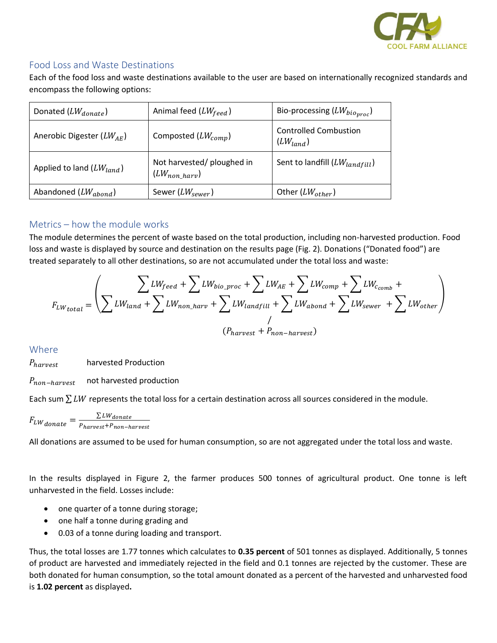

## Food Loss and Waste Destinations

Each of the food loss and waste destinations available to the user are based on internationally recognized standards and encompass the following options:

| Donated $(LW_{donate})$         | Animal feed $(LW_{feed})$                        | Bio-processing $(LW_{bio_{proc}})$            |
|---------------------------------|--------------------------------------------------|-----------------------------------------------|
| Anerobic Digester ( $LW_{AE}$ ) | Composted $(LW_{comm})$                          | <b>Controlled Combustion</b><br>$(LW_{land})$ |
| Applied to land $(LW_{land})$   | Not harvested/ ploughed in<br>$(LW_{non\ harv})$ | Sent to landfill $(LW_{landfill})$            |
| Abandoned $(LW_{abond})$        | Sewer ( $LW_{sewer}$ )                           | Other $(LW_{other})$                          |

## Metrics – how the module works

The module determines the percent of waste based on the total production, including non-harvested production. Food loss and waste is displayed by source and destination on the results page (Fig. 2). Donations ("Donated food") are treated separately to all other destinations, so are not accumulated under the total loss and waste:

$$
F_{LW_{total}} = \left(\sum_{LW_{land}} \sum_{LW_{cond\_harv}} LW_{bio\_proc} + \sum_{LW_{landfill}} LW_{c,amp} + \sum_{LW_{bound}} LW_{c,omb} + \sum_{LW_{other}} LW_{b,amp})\right)
$$

$$
(P_{harvest} + P_{non-harvest})
$$

Where

 $P_{haryest}$  harvested Production

 $P_{non-harvest}$  not harvested production

Each sum  $\sum LW$  represents the total loss for a certain destination across all sources considered in the module.

$$
F_{LW_{donate}} = \frac{\sum LW_{donate}}{P_{harvest} + P_{non-harvest}}
$$

All donations are assumed to be used for human consumption, so are not aggregated under the total loss and waste.

In the results displayed in Figure 2, the farmer produces 500 tonnes of agricultural product. One tonne is left unharvested in the field. Losses include:

- one quarter of a tonne during storage;
- one half a tonne during grading and
- 0.03 of a tonne during loading and transport.

Thus, the total losses are 1.77 tonnes which calculates to **0.35 percent** of 501 tonnes as displayed. Additionally, 5 tonnes of product are harvested and immediately rejected in the field and 0.1 tonnes are rejected by the customer. These are both donated for human consumption, so the total amount donated as a percent of the harvested and unharvested food is **1.02 percent** as displayed**.**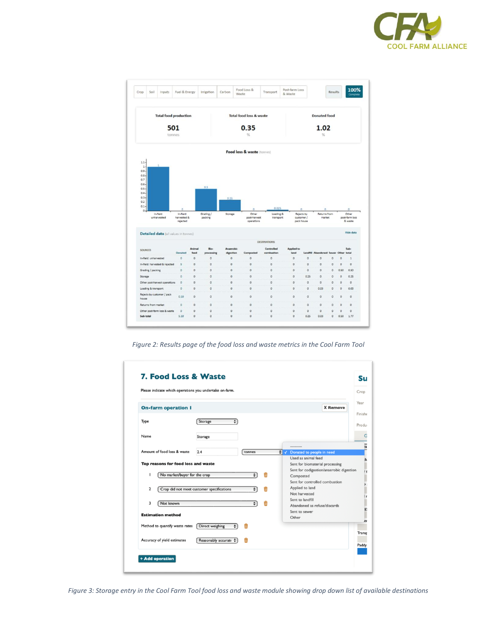



*Figure 2: Results page of the food loss and waste metrics in the Cool Farm Tool*



*Figure 3: Storage entry in the Cool Farm Tool food loss and waste module showing drop down list of available destinations*